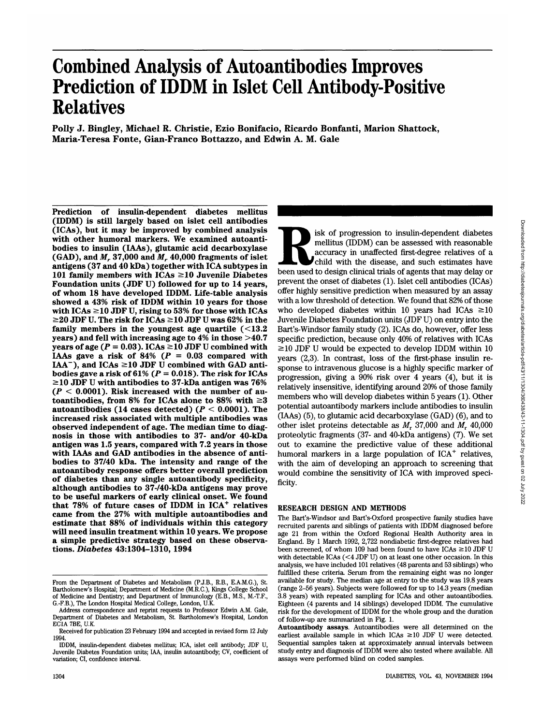# **Combined Analysis of Autoantibodies Improves Prediction of IDDM in Islet Cell Antibody-Positive Relatives**

**Polly J. Bingley, Michael R. Christie, Ezio Bonifacio, Ricardo Bonfanti, Marion Shattock, Maria-Teresa Fonte, Gian-Franco Bottazzo, and Edwin A. M. Gale**

**Prediction of insulin-dependent diabetes mellitus (IDDM) is still largely based on islet cell antibodies (ICAs), but it may be improved by combined analysis with other humoral markers. We examined autoanti- bodies to insulin (IAAs), glutamic acid decarboxylase (GAD), and** *Mr* **37,000 and** *Mr* **40,000 fragments of islet antigens (37 and 40 kDa) together with ICA subtypes in 101 family members with ICAs ^10 Juvenile Diabetes Foundation units (JDF U) followed for up to 14 years, of whom 18 have developed IDDM. Life-table analysis showed a 43% risk of IDDM within 10 years for those with ICAs >10 JDF U, rising to 53% for those with ICAs >20 JDF U. The risk for ICAs >10 JDF U was 62% in the family members in the youngest age quartile (<13.2 years) and fell with increasing age to 4% in those >40.7** years of age  $(P = 0.03)$ . ICAs  $\geq 10$  JDF U combined with **IAAs gave a risk of 84% (** $P = 0.03$  **compared with IAA"), and ICAs**  $\geq$ **10 JDF U combined with GAD anti- bodies gave a risk of 61% (** $P = 0.018$ **). The risk for ICAs >10 JDF U with antibodies to 37-kDa antigen was 76%**  $(P < 0.0001)$ . Risk increased with the number of automatibodies, from 8% for ICAs alone to 88% with  $\geq 3$ **autoantibodies (14 cases detected)** *(P <* **0.0001). The increased risk associated with multiple antibodies was observed independent of age. The median time to diagantigen was 1.5 years, compared with 7.2 years in those with IAAs and GAD antibodies in the absence of anti- bodies to 37/40 kDa. The intensity and range of the autoantibody response offers better overall prediction of diabetes than any single autoantibody specificity, although antibodies to 37-/40-kDa antigens may prove to be useful markers of early clinical onset. We found that 78% of future cases of IDDM in ICA+ relatives came from the 27% with multiple autoantibodies and estimate that 88% of individuals within this category will need insulin treatment within 10 years. We propose a simple predictive strategy based on these observa- tions.** *Diabetes* **43:1304-1310, 1994**

ERIS IS OF progression to insulin-dependent diabetes<br>
mellitus (IDDM) can be assessed with reasonable<br>
accuracy in unaffected first-degree relatives of a<br>
child with the disease, and such estimates have<br>
been used to desig mellitus (IDDM) can be assessed with reasonable accuracy in unaffected first-degree relatives of a child with the disease, and such estimates have prevent the onset of diabetes (1). Islet cell antibodies (ICAs) offer highly sensitive prediction when measured by an assay with a low threshold of detection. We found that 82% of those who developed diabetes within 10 years had ICAs  $\geq 10$ Juvenile Diabetes Foundation units (JDF U) on entry into the Bart's-Windsor family study (2). ICAs do, however, offer less specific prediction, because only 40% of relatives with ICAs  $\geq$ 10 JDF U would be expected to develop IDDM within 10 years (2,3). In contrast, loss of the first-phase insulin response to intravenous glucose is a highly specific marker of progression, giving a 90% risk over 4 years (4), but it is relatively insensitive, identifying around 20% of those family members who will develop diabetes within 5 years (1). Other potential autoantibody markers include antibodies to insulin (IAAs) (5), to glutamic acid decarboxylase (GAD) (6), and to other islet proteins detectable as *Mr* 37,000 and *Mr* 40,000 proteolytic fragments (37- and 40-kDa antigens) (7). We set out to examine the predictive value of these additional humoral markers in a large population of ICA<sup>+</sup> relatives, with the aim of developing an approach to screening that would combine the sensitivity of ICA with improved specificity.

## RESEARCH DESIGN AND METHODS

The Bart's-Windsor and Bart's-Oxford prospective family studies have recruited parents and siblings of patients with IDDM diagnosed before age 21 from within the Oxford Regional Health Authority area in England. By 1 March 1992, 2,722 nondiabetic first-degree relatives had been screened, of whom 109 had been found to have ICAs  $\geq$  10 JDF U with detectable ICAs (<4 JDF U) on at least one other occasion. In this analysis, we have included 101 relatives (48 parents and 53 siblings) who fulfilled these criteria. Serum from the remaining eight was no longer available for study. The median age at entry to the study was 19.8 years (range 2-56 years). Subjects were followed for up to 14.3 years (median 3.8 years) with repeated sampling for ICAs and other autoantibodies. Eighteen (4 parents and 14 siblings) developed IDDM. The cumulative risk for the development of IDDM for the whole group and the duration of follow-up are summarized in Fig. 1.

From the Department of Diabetes and Metabolism (P.J.B., R.B., E.A.M.G.), St. Bartholomew's Hospital; Department of Medicine (M.R.C.), Kings College School of Medicine and Dentistry; and Department of Immunology (E.B., M.S., M.-T.F., G.-F.B.), The London Hospital Medical College, London, U.K.

Address correspondence and reprint requests to Professor Edwin A.M. Gale, Department of Diabetes and Metabolism, St. Bartholomew's Hospital, London EC1A 7BE, U.K.

Received for publication 23 February 1994 and accepted in revised form 12 July 1994.

IDDM, insulin-dependent diabetes mellitus; ICA, islet cell antibody; JDF U, Juvenile Diabetes Foundation units; IAA, insulin autoantibody; CV, coefficient of variation; CI, confidence interval.

**Autoantibody assays.** Autoantibodies were all determined on the earliest available sample in which ICAs  $\geq$ 10 JDF U were detected. Sequential samples taken at approximately annual intervals between study entry and diagnosis of IDDM were also tested where available. All assays were performed blind on coded samples.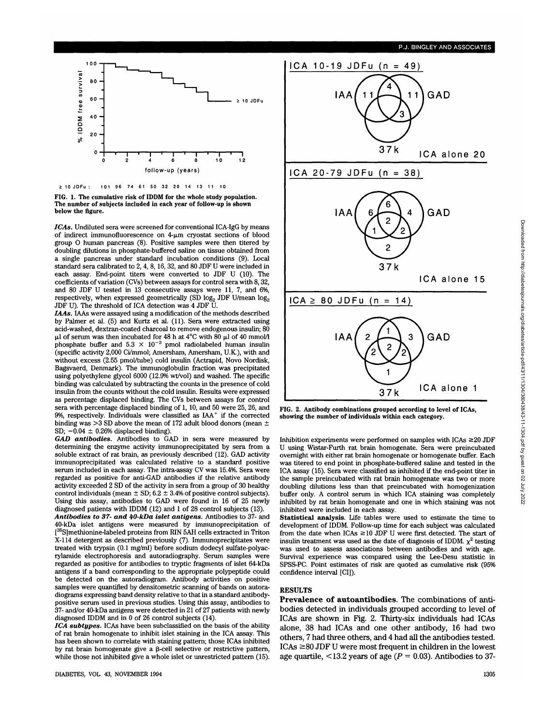

**2 10 JDFu 101 96 74 61 50 32 20 14 13 11 10**

FIG. 1. The cumulative risk of IDDM for the whole study population. The number of subjects included in each year of follow-up is shown below the figure.

*ICAs.* Undiluted sera were screened for conventional ICA-IgG by means of indirect immunofluorescence on  $4-\mu m$  cryostat sections of blood group O human pancreas (8). Positive samples were then titered by doubling dilutions in phosphate-buffered saline on tissue obtained from a single pancreas under standard incubation conditions (9). Local standard sera calibrated to 2, 4, 8,16, 32, and 80 JDF U were included in each assay. End-point titers were converted to JDF U (10). The coefficients of variation (CVs) between assays for control sera with 8,32, and 80 JDF U tested in 13 consecutive assays were 11, 7, and 6%, respectively, when expressed geometrically (SD log<sub>2</sub> JDF U/mean log<sub>2</sub> JDF U). The threshold of ICA detection was 4 JDF U.

*IAAs.* IAAs were assayed using a modification of the methods described by Palmer et al. (5) and Kurtz et al. (11). Sera were extracted using acid-washed, dextran-coated charcoal to remove endogenous insulin; 80 ul of serum was then incubated for 48 h at 4°C with 80  $\mu$ l of 40 mmol/1 phosphate buffer and  $5.3 \times 10^{-3}$  pmol radiolabeled human insuling (specific activity 2,000 Ci/mmol; Amersham, Amersham, U.K.), with and without excess (2.55 pmol/tube) cold insulin (Actrapid, Novo Nordisk, Bagsvaerd, Denmark). The immunoglobulin fraction was precipitated using polyethylene glycol 6000 (12.9% wt/vol) and washed. The specific binding was calculated by subtracting the counts in the presence of cold insulin from the counts without the cold insulin. Results were expressed as percentage displaced binding. The CVs between assays for control sera with percentage displaced binding of 1, 10, and 50 were 25, 26, and sera with percentage displaced binding of 1, 10, and 50 were 25, 26, and<br>0%, respectively. Individuals were classified as IAA<sup>+</sup> if the corrected binding was  $>3$  SD above the mean of 172 adult blood donors (mean  $\pm$ SD;  $-0.04 \pm 0.26\%$  displaced binding).

*GAD antibodies.* Antibodies to GAD in sera were measured by determining the enzyme activity immunoprecipitated by sera from a soluble extract of rat brain, as previously described (12). GAD activity immunoprecipitated was calculated relative to a standard positive serum included in each assay. The intra-assay CV was 15.4%. Sera were regarded as positive for anti-GAD antibodies if the relative antibody activity exceeded 2 SD of the activity in sera from a group of 30 healthy control individuals (mean  $\pm$  SD; 6.2  $\pm$  3.4% of positive control subjects). Using this assay, antibodies to GAD were found in 16 of 25 newly diagnosed patients with IDDM (12) and 1 of 28 control subjects (13).

*Antibodies to 37- and 40-kDa islet antigens.* Antibodies to 37- and 40-kDa islet antigens were measured by immunoprecipitation of [ 35S]methionine-labeled proteins from RIN 5AH cells extracted in Triton X-114 detergent as described previously (7). Immunoprecipitates were treated with trypsin (0.1 mg/ml) before sodium dodecyl sulfate-polyacrylamide electrophoresis and autoradiography. Serum samples were regarded as positive for antibodies to tryptic fragments of islet 64-kDa antigens if a band corresponding to the appropriate polypeptide could be detected on the autoradiogram. Antibody activities on positive samples were quantified by densitometric scanning of bands on autoradiograms expressing band density relative to that in a standard antibodypositive serum used in previous studies. Using this assay, antibodies to 37- and/or 40-kDa antigens were detected in 21 of 27 patients with newly diagnosed IDDM and in 0 of 26 control subjects (14).

*ICA subtypes.* ICAs have been subclassified on the basis of the ability of rat brain homogenate to inhibit islet staining in the ICA assay. This has been shown to correlate with staining pattern; those ICAs inhibited by rat brain homogenate give a  $\beta$ -cell selective or restrictive pattern, while those not inhibited give a whole islet or unrestricted pattern (15).



FIG. 2. Antibody combinations grouped according to level of ICAs, showing the number of individuals within each category.

Inhibition experiments were performed on samples with ICAs  $\geq$ 20 JDF U using Wistar-Furth rat brain homogenate. Sera were preincubated overnight with either rat brain homogenate or homogenate buffer. Each was titered to end point in phosphate-buffered saline and tested in the ICA assay (15). Sera were classified as inhibited if the end-point titer in the sample preincubated with rat brain homogenate was two or more doubling dilutions less than that preincubated with homogenization buffer only. A control serum in which ICA staining was completely inhibited by rat brain homogenate and one in which staining was not inhibited were included in each assay.

Statistical analysis. life tables were used to estimate the time to development of IDDM. Follow-up time for each subject was calculated from the date when ICAs  $\geq$ 10 JDF U were first detected. The start of insulin treatment was used as the date of diagnosis of IDDM.  $\chi^2$  testing was used to assess associations between antibodies and with age. Survival experience was compared using the Lee-Desu statistic in SPSS-PC. Point estimates of risk are quoted as cumulative risk (95% confidence interval [CI]).

# RESULTS

**Prevalence of autoantibodies.** The combinations of anti bodies detected in individuals grouped according to level of ICAs are shown in Fig. 2. Thirty-six individuals had ICAs alone, 38 had ICAs and one other antibody, 16 had two others, 7 had three others, and 4 had all the antibodies tested.  $ICAs  $\geq$  80 JDF U were most frequent in children in the lowest$ age quartile,  $\langle 13.2 \rangle$  years of age ( $P = 0.03$ ). Antibodies to 37-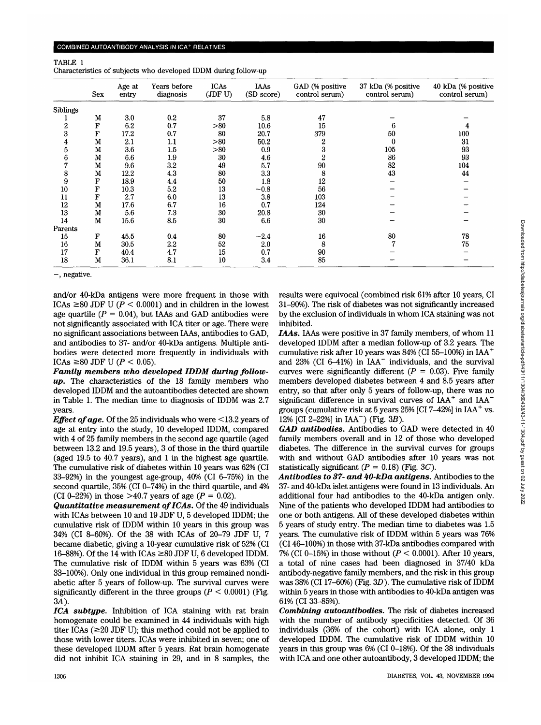| TABLE 1                                                         |  |  |  |
|-----------------------------------------------------------------|--|--|--|
| Characteristics of subjects who developed IDDM during follow-up |  |  |  |

|                  | Sex | Age at<br>entry | Years before<br>diagnosis | <b>ICAs</b><br>(JDF U) | <b>IAAs</b><br>(SD score) | GAD (% positive)<br>control serum) | 37 kDa (% positive)<br>control serum) | 40 kDa (% positive<br>control serum) |
|------------------|-----|-----------------|---------------------------|------------------------|---------------------------|------------------------------------|---------------------------------------|--------------------------------------|
| <b>Siblings</b>  |     |                 |                           |                        |                           |                                    |                                       |                                      |
|                  | M   | 3.0             | 0.2                       | 37                     | 5.8                       | 47                                 |                                       |                                      |
| 2                | F   | 6.2             | 0.7                       | > 80                   | 10.6                      | 15                                 |                                       |                                      |
| 3                | F   | 17.2            | 0.7                       | 80                     | 20.7                      | 379                                | 50                                    | 100                                  |
| 4                | M   | 2.1             | 1.1                       | > 80                   | 50.2                      | $\overline{2}$                     |                                       | 31                                   |
| 5                | M   | $3.6\,$         | 1.5                       | > 80                   | 0.9                       | 3                                  | 105                                   | 93                                   |
| 6                | M   | 6.6             | 1.9                       | 30                     | 4.6                       | $\overline{2}$                     | 86                                    | 93                                   |
|                  | M   | 9.6             | 3.2                       | 49                     | 5.7                       | 90                                 | 82                                    | 104                                  |
| 8                | M   | 12.2            | 4.3                       | 80                     | 3.3                       | 8                                  | 43                                    | 44                                   |
| 9                | F   | 18.9            | 4.4                       | 50                     | 1.8                       | 12                                 |                                       |                                      |
| 10               | F   | 10.3            | 5.2                       | 13                     | $-0.8$                    | 56                                 |                                       |                                      |
| 11               | F   | 2.7             | 6.0                       | 13                     | 3.8                       | 103                                |                                       |                                      |
| $12\phantom{.0}$ | M   | 17.6            | 6.7                       | 16                     | 0.7                       | 124                                |                                       |                                      |
| 13               | M   | 5.6             | 7.3                       | 30                     | 20.8                      | 30                                 |                                       |                                      |
| 14               | M   | 15.6            | 8.5                       | 30                     | 6.6                       | 30                                 |                                       |                                      |
| Parents          |     |                 |                           |                        |                           |                                    |                                       |                                      |
| 15               | F   | 45.5            | 0.4                       | 80                     | $-2.4$                    | 16                                 | 80                                    | 78                                   |
| 16               | M   | 30.5            | 2.2                       | 52                     | 2.0                       | 8                                  | $\overline{7}$                        | 75                                   |
| 17               | F   | 40.4            | 4.7                       | 15                     | 0.7                       | 90                                 |                                       |                                      |
| 18               | M   | 36.1            | 8.1                       | 10                     | 3.4                       | 85                                 |                                       |                                      |

—, negative.

and/or 40-kDa antigens were more frequent in those with ICAs  $\geq 80$  JDF U ( $P < 0.0001$ ) and in children in the lowest age quartile  $(P = 0.04)$ , but IAAs and GAD antibodies were not significantly associated with ICA titer or age. There were no significant associations between IAAs, antibodies to GAD, and antibodies to 37- and/or 40-kDa antigens. Multiple antibodies were detected more frequently in individuals with ICAs ≥80 JDF U ( $P$  < 0.05).

*Family members who developed IDDM during followup.* The characteristics of the 18 family members who developed IDDM and the autoantibodies detected are shown in Table 1. The median time to diagnosis of IDDM was 2.7 years.

*Effect of age.* Of the 25 individuals who were <13.2 years of age at entry into the study, 10 developed IDDM, compared with 4 of 25 family members in the second age quartile (aged between 13.2 and 19.5 years), 3 of those in the third quartile (aged 19.5 to 40.7 years), and 1 in the highest age quartile. The cumulative risk of diabetes within 10 years was 62% (CI 33-92%) in the youngest age-group, 40% (CI 6-75%) in the second quartile, 35% (CI 0-74%) in the third quartile, and 4% (CI 0-22%) in those  $>40.7$  years of age ( $P = 0.02$ ).

*Quantitative measurement of ICAs.* Of the 49 individuals with ICAs between 10 and 19 JDF U, 5 developed IDDM; the cumulative risk of IDDM within 10 years in this group was 34% (CI 8-60%). Of the 38 with ICAs of 20-79 JDF U, 7 became diabetic, giving a 10-year cumulative risk of 52% (CI 16-88%). Of the 14 with ICAs  $\geq$ 80 JDF U, 6 developed IDDM. The cumulative risk of IDDM within 5 years was 63% (CI 33-100%). Only one individual in this group remained nondiabetic after 5 years of follow-up. The survival curves were significantly different in the three groups ( $P < 0.0001$ ) (Fig. 3A).

*ICA subtype.* Inhibition of ICA staining with rat brain homogenate could be examined in 44 individuals with high titer ICAs ( $\geq$ 20 JDF U); this method could not be applied to those with lower titers. ICAs were inhibited in seven; one of these developed IDDM after 5 years. Rat brain homogenate did not inhibit ICA staining in 29, and in 8 samples, the results were equivocal (combined risk 61% after 10 years, CI 31-90%). The risk of diabetes was not significantly increased by the exclusion of individuals in whom ICA staining was not inhibited.

*IAAs.* IAAs were positive in 37 family members, of whom 11 developed IDDM after a median follow-up of 3.2 years. The cumulative risk after 10 years was 84% (CI 55-100%) in IAA+ and  $23\%$  (CI 6-41%) in IAA<sup>-</sup> individuals, and the survival curves were significantly different ( $P = 0.03$ ). Five family members developed diabetes between 4 and 8.5 years after entry, so that after only 5 years of follow-up, there was no significant difference in survival curves of  $IAA<sup>+</sup>$  and  $IAA$ groups (cumulative risk at 5 years  $25\%$  [CI 7-42%] in IAA<sup>+</sup> vs. 12% [CI 2-22%] in  $IAA^-$ ) (Fig. 3B).

*GAD antibodies.* Antibodies to GAD were detected in 40 family members overall and in 12 of those who developed diabetes. The difference in the survival curves for groups with and without GAD antibodies after 10 years was not statistically significant ( $P = 0.18$ ) (Fig. 3C).

*Antibodies to 37- and 40-kDa antigens.* Antibodies to the 37- and 40-kDa islet antigens were found in 13 individuals. An additional four had antibodies to the 40-kDa antigen only. Nine of the patients who developed IDDM had antibodies to one or both antigens. All of these developed diabetes within 5 years of study entry. The median time to diabetes was 1.5 years. The cumulative risk of IDDM within 5 years was 76% (CI 46-100%) in those with 37-kDa antibodies compared with 7% (CI 0-15%) in those without ( $P < 0.0001$ ). After 10 years, a total of nine cases had been diagnosed in 37/40 kDa antibody-negative family members, and the risk in this group was 38% (CI 17-60%) (Fig. 3D). The cumulative risk of IDDM within 5 years in those with antibodies to 40-kDa antigen was 61% (CI 33-85%).

*Combining autoantibodies.* The risk of diabetes increased with the number of antibody specificities detected. Of 36 individuals (36% of the cohort) with ICA alone, only 1 developed IDDM. The cumulative risk of IDDM within 10 years in this group was 6% (CI 0-18%). Of the 38 individuals with ICA and one other autoantibody, 3 developed IDDM; the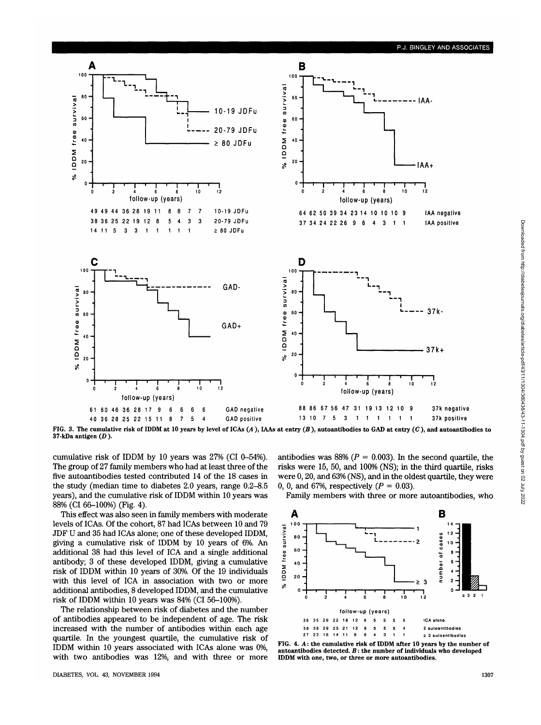

FIG. 3. The cumulative risk of IDDM at 10 years by level of ICAs  $(A)$ , IAAs at entry  $(B)$ , autoantibodies to GAD at entry  $(C)$ , and autoantibodies to 37-kDa antigen  $(D)$ .

cumulative risk of IDDM by 10 years was 27% (CI 0-54%). The group of 27 family members who had at least three of the five autoantibodies tested contributed 14 of the 18 cases in the study (median time to diabetes 2.0 years, range 0.2-8.5 years), and the cumulative risk of IDDM within 10 years was 88% (CI 66-100%) (Fig. 4).

This effect was also seen in family members with moderate levels of ICAs. Of the cohort, 87 had ICAs between 10 and 79 JDF U and 35 had ICAs alone; one of these developed IDDM, giving a cumulative risk of IDDM by 10 years of 6%. An additional 38 had this level of ICA and a single additional antibody; 3 of these developed IDDM, giving a cumulative risk of IDDM within 10 years of 30%. Of the 19 individuals with this level of ICA in association with two or more additional antibodies, 8 developed IDDM, and the cumulative risk of IDDM within 10 years was 84% (CI 56-100%).

The relationship between risk of diabetes and the number of antibodies appeared to be independent of age. The risk increased with the number of antibodies within each age quartile. In the youngest quartile, the cumulative risk of IDDM within 10 years associated with ICAs alone was 0%, with two antibodies was 12%, and with three or more

antibodies was  $88\%$  ( $P = 0.003$ ). In the second quartile, the risks were 15, 50, and 100% (NS); in the third quartile, risks were 0,20, and 63% (NS), and in the oldest quartile, they were 0, 0, and 67%, respectively *(P =* 0.03).

Family members with three or more autoantibodies, who



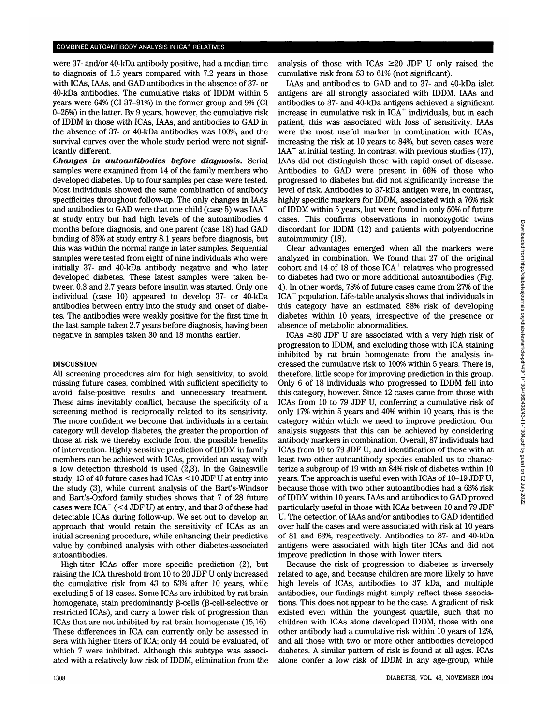were 37- and/or 40-kDa antibody positive, had a median time to diagnosis of 1.5 years compared with 7.2 years in those with ICAs, IAAs, and GAD antibodies in the absence of 37- or 40-kDa antibodies. The cumulative risks of IDDM within 5 years were 64% (CI 37-91%) in the former group and 9% (CI 0-25%) in the latter. By 9 years, however, the cumulative risk of IDDM in those with ICAs, IAAs, and antibodies to GAD in the absence of 37- or 40-kDa antibodies was 100%, and the survival curves over the whole study period were not significantly different.

*Changes in autoantibodies before diagnosis.* **Serial** samples were examined from 14 of the family members who developed diabetes. Up to four samples per case were tested. Most individuals showed the same combination of antibody specificities throughout follow-up. The only changes in IAAs and antibodies to GAD were that one child (case 5) was IAA<sup>-</sup> at study entry but had high levels of the autoantibodies 4 months before diagnosis, and one parent (case 18) had GAD binding of 85% at study entry 8.1 years before diagnosis, but this was within the normal range in later samples. Sequential samples were tested from eight of nine individuals who were initially 37- and 40-kDa antibody negative and who later developed diabetes. These latest samples were taken between 0.3 and 2.7 years before insulin was started. Only one individual (case 10) appeared to develop 37- or 40-kDa antibodies between entry into the study and onset of diabetes. The antibodies were weakly positive for the first time in the last sample taken 2.7 years before diagnosis, having been negative in samples taken 30 and 18 months earlier.

# DISCUSSION

All screening procedures aim for high sensitivity, to avoid missing future cases, combined with sufficient specificity to avoid false-positive results and unnecessary treatment. These aims inevitably conflict, because the specificity of a screening method is reciprocally related to its sensitivity. The more confident we become that individuals in a certain category will develop diabetes, the greater the proportion of those at risk we thereby exclude from the possible benefits of intervention. Highly sensitive prediction of IDDM in family members can be achieved with ICAs, provided an assay with a low detection threshold is used (2,3). In the Gainesville study, 13 of 40 future cases had ICAs < 10 JDF U at entry into the study (3), while current analysis of the Bart's-Windsor and Bart's-Oxford family studies shows that 7 of 28 future cases were  $ICA^-$  (<4 JDF U) at entry, and that 3 of these had detectable ICAs during follow-up. We set out to develop an approach that would retain the sensitivity of ICAs as an initial screening procedure, while enhancing their predictive value by combined analysis with other diabetes-associated autoantibodies.

High-titer ICAs offer more specific prediction (2), but raising the ICA threshold from 10 to 20 JDF U only increased the cumulative risk from 43 to 53% after 10 years, while excluding 5 of 18 cases. Some ICAs are inhibited by rat brain homogenate, stain predominantly  $\beta$ -cells ( $\beta$ -cell-selective or restricted ICAs), and carry a lower risk of progression than ICAs that are not inhibited by rat brain homogenate (15,16). These differences in ICA can currently only be assessed in sera with higher titers of ICA; only 44 could be evaluated, of which 7 were inhibited. Although this subtype was associated with a relatively low risk of IDDM, elimination from the analysis of those with ICAs  $\geq 20$  JDF U only raised the cumulative risk from 53 to 61% (not significant).

IAAs and antibodies to GAD and to 37- and 40-kDa islet antigens are all strongly associated with IDDM. IAAs and antibodies to 37- and 40-kDa antigens achieved a significant increase in cumulative risk in  $ICA^+$  individuals, but in each patient, this was associated with loss of sensitivity. IAAs were the most useful marker in combination with ICAs, increasing the risk at 10 years to 84%, but seven cases were  $IAA<sup>-</sup>$  at initial testing. In contrast with previous studies (17), IAAs did not distinguish those with rapid onset of disease. Antibodies to GAD were present in 66% of those who progressed to diabetes but did not significantly increase the level of risk. Antibodies to 37-kDa antigen were, in contrast, highly specific markers for IDDM, associated with a 76% risk of IDDM within 5 years, but were found in only 50% of future cases. This confirms observations in monozygotic twins discordant for IDDM (12) and patients with polyendocrine autoimmunity (18).

Clear advantages emerged when all the markers were analyzed in combination. We found that 27 of the original cohort and 14 of 18 of those ICA<sup>+</sup> relatives who progressed to diabetes had two or more additional autoantibodies (Fig. 4). In other words, 78% of future cases came from 27% of the ICA+ population. Life-table analysis shows that individuals in this category have an estimated 88% risk of developing diabetes within 10 years, irrespective of the presence or absence of metabolic abnormalities.

ICAs  $\geq 80$  JDF U are associated with a very high risk of progression to IDDM, and excluding those with ICA staining inhibited by rat brain homogenate from the analysis increased the cumulative risk to 100% within 5 years. There is, therefore, little scope for improving prediction in this group. Only 6 of 18 individuals who progressed to IDDM fell into this category, however. Since 12 cases came from those with ICAs from 10 to 79 JDF U, conferring a cumulative risk of only 17% within 5 years and 40% within 10 years, this is the category within which we need to improve prediction. Our analysis suggests that this can be achieved by considering antibody markers in combination. Overall, 87 individuals had ICAs from 10 to 79 JDF U, and identification of those with at least two other autoantibody species enabled us to characterize a subgroup of 19 with an 84% risk of diabetes within 10 years. The approach is useful even with ICAs of 10-19 JDF U, because those with two other autoantibodies had a 63% risk of IDDM within 10 years. IAAs and antibodies to GAD proved particularly useful in those with ICAs between 10 and 79 JDF U. The detection of IAAs and/or antibodies to GAD identified over half the cases and were associated with risk at 10 years of 81 and 63%, respectively. Antibodies to 37- and 40-kDa antigens were associated with high titer ICAs and did not improve prediction in those with lower titers.

Because the risk of progression to diabetes is inversely related to age, and because children are more likely to have high levels of ICAs, antibodies to 37 kDa, and multiple antibodies, our findings might simply reflect these associations. This does not appear to be the case. A gradient of risk existed even within the youngest quartile, such that no children with ICAs alone developed IDDM, those with one other antibody had a cumulative risk within 10 years of 12%, and all those with two or more other antibodies developed diabetes. A similar pattern of risk is found at all ages. ICAs alone confer a low risk of IDDM in any age-group, while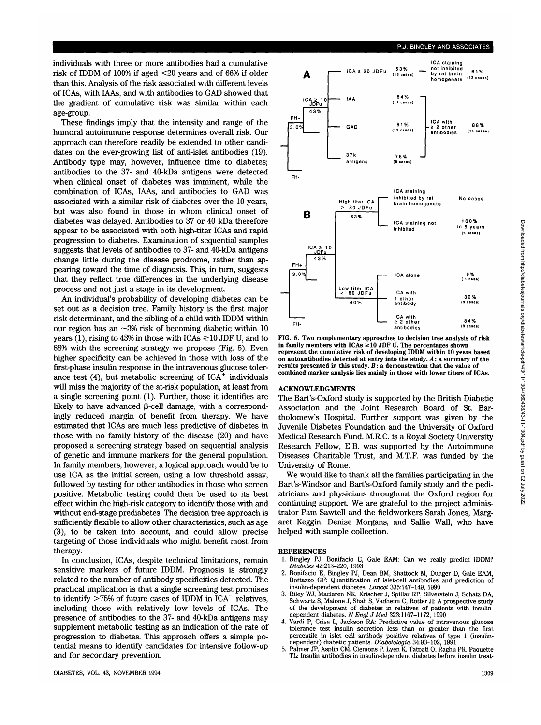individuals with three or more antibodies had a cumulative risk of IDDM of 100% if aged <20 years and of 66% if older than this. Analysis of the risk associated with different levels of ICAs, with IAAs, and with antibodies to GAD showed that the gradient of cumulative risk was similar within each age-group.

These findings imply that the intensity and range of the humoral autoimmune response determines overall risk. Our approach can therefore readily be extended to other candidates on the ever-growing list of anti-islet antibodies (19). Antibody type may, however, influence time to diabetes; antibodies to the 37- and 40-kDa antigens were detected when clinical onset of diabetes was imminent, while the combination of ICAs, IAAs, and antibodies to GAD was associated with a similar risk of diabetes over the 10 years, but was also found in those in whom clinical onset of diabetes was delayed. Antibodies to 37 or 40 kDa therefore appear to be associated with both high-titer ICAs and rapid progression to diabetes. Examination of sequential samples suggests that levels of antibodies to 37- and 40-kDa antigens change little during the disease prodrome, rather than appearing toward the time of diagnosis. This, in turn, suggests that they reflect true differences in the underlying disease process and not just a stage in its development.

An individual's probability of developing diabetes can be set out as a decision tree. Family history is the first major risk determinant, and the sibling of a child with IDDM within our region has an  $\sim$ 3% risk of becoming diabetic within 10 years (1), rising to 43% in those with ICAs  $\geq$ 10 JDF U, and to 88% with the screening strategy we propose (Fig. 5). Even higher specificity can be achieved in those with loss of the first-phase insulin response in the intravenous glucose tolerance test  $(4)$ , but metabolic screening of ICA<sup>+</sup> individuals will miss the majority of the at-risk population, at least from a single screening point (1). Further, those it identifies are likely to have advanced  $\beta$ -cell damage, with a correspondingly reduced margin of benefit from therapy. We have estimated that ICAs are much less predictive of diabetes in those with no family history of the disease (20) and have proposed a screening strategy based on sequential analysis of genetic and immune markers for the general population. In family members, however, a logical approach would be to use ICA as the initial screen, using a low threshold assay, followed by testing for other antibodies in those who screen positive. Metabolic testing could then be used to its best effect within the high-risk category to identify those with and without end-stage prediabetes. The decision tree approach is sufficiently flexible to allow other characteristics, such as age (3), to be taken into account, and could allow precise targeting of those individuals who might benefit most from therapy.

In conclusion, ICAs, despite technical limitations, remain sensitive markers of future IDDM. Prognosis is strongly related to the number of antibody specificities detected. The practical implication is that a single screening test promises to identify  $>75\%$  of future cases of IDDM in ICA<sup>+</sup> relatives, including those with relatively low levels of ICAs. The presence of antibodies to the 37- and 40-kDa antigens may supplement metabolic testing as an indication of the rate of progression to diabetes. This approach offers a simple potential means to identify candidates for intensive follow-up and for secondary prevention.



**FIG. 5. Two complementary approaches to decision tree analysis of risk** in family members with  $ICAs \geq 10$  JDF U. The percentages shown **represent the cumulative risk of developing IDDM within 10 years based on autoantibodies detected at entry into the study.** *A***: a summary of the results presented in this study.** *B***: a demonstration that the value of combined marker analysis lies mainly in those with lower titers of ICAs.**

## ACKNOWLEDGMENTS

The Bart's-Oxford study is supported by the British Diabetic Association and the Joint Research Board of St. Bartholomew's Hospital. Further support was given by the Juvenile Diabetes Foundation and the University of Oxford Medical Research Fund. M.R.C. is a Royal Society University Research Fellow, E.B. was supported by the Autoimmune Diseases Charitable Trust, and M.T.F. was funded by the University of Rome.

We would like to thank all the families participating in the Bart's-Windsor and Bart's-Oxford family study and the pediatricians and physicians throughout the Oxford region for continuing support. We are grateful to the project administrator Pam Sawtell and the fieldworkers Sarah Jones, Margaret Keggin, Denise Morgans, and Sallie Wall, who have helped with sample collection.

#### **REFERENCES**

- 1. Bingley PJ, Bonifacio E, Gale EAM: Can we really predict IDDM? *Diabetes* 42:213-220, 1993
- Bottazzo GF: Quantification of islet-cell antibodies and prediction of insulin-dependent diabetes. *Lancet* 335:147-149, 1990
- Schwartz S, Malone J, Shah S, Vadheim C, Rotter JI: A prospective study<br>of the development of diabetes in relatives of patients with insulin-<br>dependent diabetes. N Engl J Med 323:1167-1172, 1990<br>4. Vardi P, Crisa L, Jackso
- tolerance test insulin secretion less than or greater than the first percentile in islet cell antibody positive relatives of type 1 (insulin- dependent) diabetic patients. *Diabetologia* 34:93-102, 1991
- 5. Palmer JP, Asplin CM, Clemons P, Lyen K, Tatpati O, Raghu PK, Paquette TL: Insulin antibodies in insulin-dependent diabetes before insulin treat-

P.J. BINGLEY AND ASSOCIATES